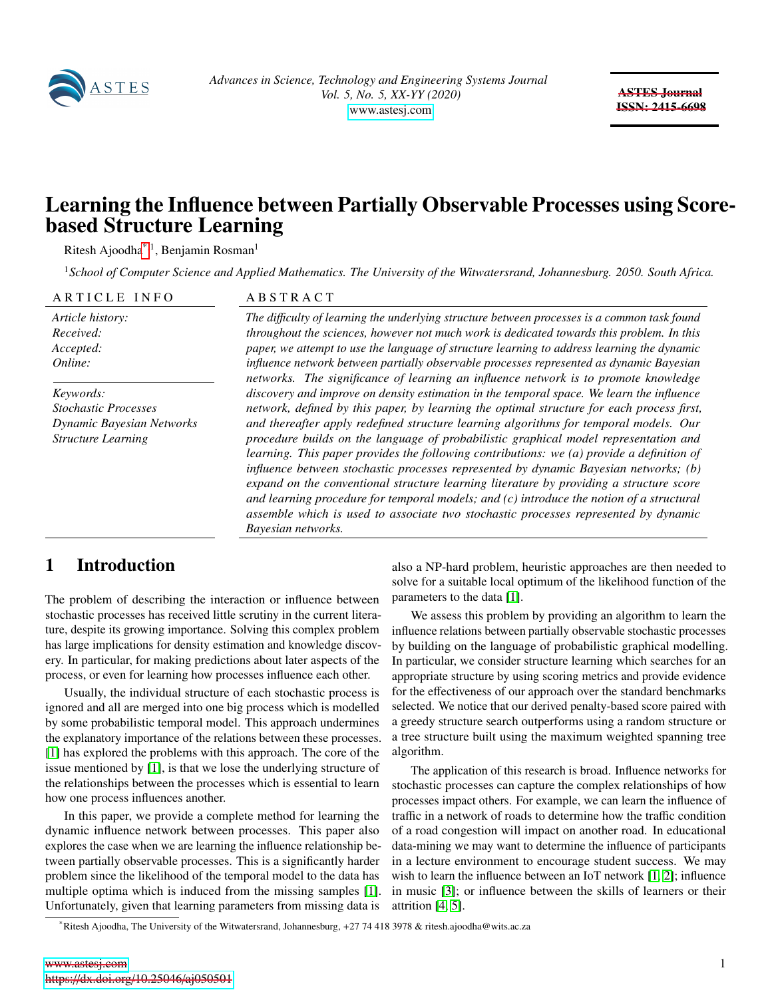

ASTES Journal ISSN: 2415-6698

# Learning the Influence between Partially Observable Processes using Scorebased Structure Learning

Ritesh Ajoodha<sup>[\\*](#page-0-0),1</sup>, Benjamin Rosman<sup>1</sup>

<sup>1</sup>*School of Computer Science and Applied Mathematics. The University of the Witwatersrand, Johannesburg. 2050. South Africa.*

ARTICLE INFO ABSTRACT

*Article history: Received: Accepted: Online:*

*Keywords: Stochastic Processes Dynamic Bayesian Networks Structure Learning*

*The di*ffi*culty of learning the underlying structure between processes is a common task found throughout the sciences, however not much work is dedicated towards this problem. In this paper, we attempt to use the language of structure learning to address learning the dynamic influence network between partially observable processes represented as dynamic Bayesian networks. The significance of learning an influence network is to promote knowledge discovery and improve on density estimation in the temporal space. We learn the influence network, defined by this paper, by learning the optimal structure for each process first, and thereafter apply redefined structure learning algorithms for temporal models. Our procedure builds on the language of probabilistic graphical model representation and learning. This paper provides the following contributions: we (a) provide a definition of influence between stochastic processes represented by dynamic Bayesian networks; (b) expand on the conventional structure learning literature by providing a structure score and learning procedure for temporal models; and (c) introduce the notion of a structural assemble which is used to associate two stochastic processes represented by dynamic Bayesian networks.*

### 1 Introduction

The problem of describing the interaction or influence between stochastic processes has received little scrutiny in the current literature, despite its growing importance. Solving this complex problem has large implications for density estimation and knowledge discovery. In particular, for making predictions about later aspects of the process, or even for learning how processes influence each other.

Usually, the individual structure of each stochastic process is ignored and all are merged into one big process which is modelled by some probabilistic temporal model. This approach undermines the explanatory importance of the relations between these processes. [\[1\]](#page-6-0) has explored the problems with this approach. The core of the issue mentioned by [\[1\]](#page-6-0), is that we lose the underlying structure of the relationships between the processes which is essential to learn how one process influences another.

In this paper, we provide a complete method for learning the dynamic influence network between processes. This paper also explores the case when we are learning the influence relationship between partially observable processes. This is a significantly harder problem since the likelihood of the temporal model to the data has multiple optima which is induced from the missing samples [\[1\]](#page-6-0). Unfortunately, given that learning parameters from missing data is

also a NP-hard problem, heuristic approaches are then needed to solve for a suitable local optimum of the likelihood function of the parameters to the data [\[1\]](#page-6-0).

We assess this problem by providing an algorithm to learn the influence relations between partially observable stochastic processes by building on the language of probabilistic graphical modelling. In particular, we consider structure learning which searches for an appropriate structure by using scoring metrics and provide evidence for the effectiveness of our approach over the standard benchmarks selected. We notice that our derived penalty-based score paired with a greedy structure search outperforms using a random structure or a tree structure built using the maximum weighted spanning tree algorithm.

The application of this research is broad. Influence networks for stochastic processes can capture the complex relationships of how processes impact others. For example, we can learn the influence of traffic in a network of roads to determine how the traffic condition of a road congestion will impact on another road. In educational data-mining we may want to determine the influence of participants in a lecture environment to encourage student success. We may wish to learn the influence between an IoT network [\[1,](#page-6-0) [2\]](#page-6-1); influence in music [\[3\]](#page-6-2); or influence between the skills of learners or their attrition [\[4,](#page-6-3) [5\]](#page-6-4).

<span id="page-0-0"></span><sup>\*</sup>Ritesh Ajoodha, The University of the Witwatersrand, Johannesburg, +27 74 418 3978 & ritesh.ajoodha@wits.ac.za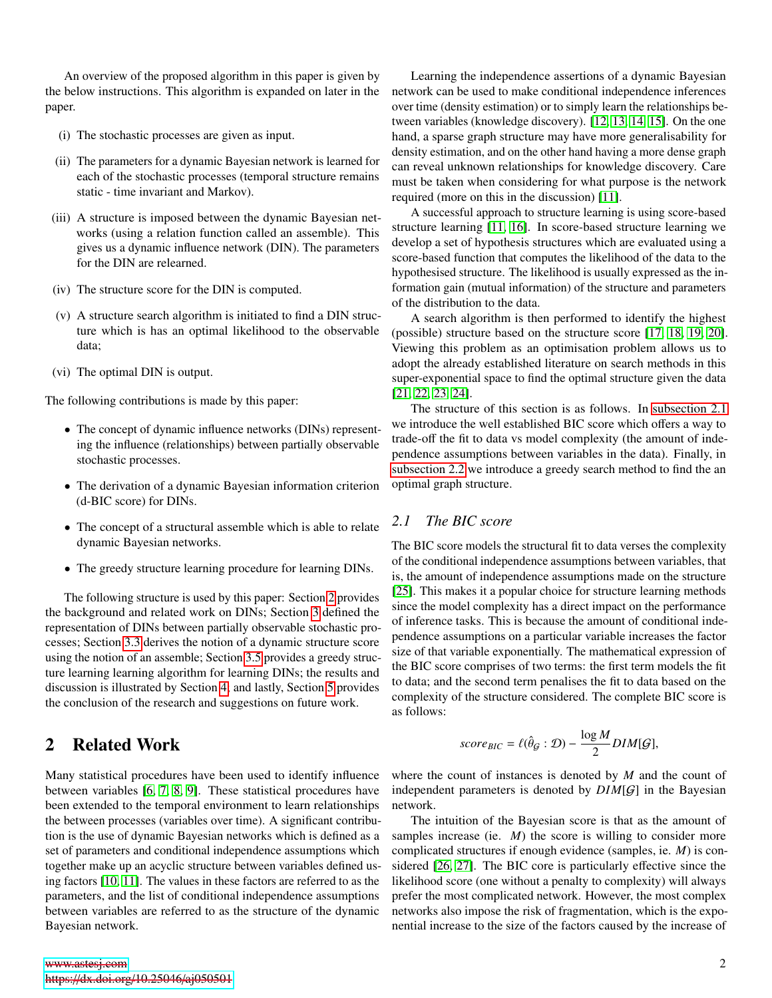An overview of the proposed algorithm in this paper is given by the below instructions. This algorithm is expanded on later in the paper.

- (i) The stochastic processes are given as input.
- (ii) The parameters for a dynamic Bayesian network is learned for each of the stochastic processes (temporal structure remains static - time invariant and Markov).
- (iii) A structure is imposed between the dynamic Bayesian networks (using a relation function called an assemble). This gives us a dynamic influence network (DIN). The parameters for the DIN are relearned.
- (iv) The structure score for the DIN is computed.
- (v) A structure search algorithm is initiated to find a DIN structure which is has an optimal likelihood to the observable data;
- (vi) The optimal DIN is output.

The following contributions is made by this paper:

- The concept of dynamic influence networks (DINs) representing the influence (relationships) between partially observable stochastic processes.
- The derivation of a dynamic Bayesian information criterion (d-BIC score) for DINs.
- The concept of a structural assemble which is able to relate dynamic Bayesian networks.
- The greedy structure learning procedure for learning DINs.

The following structure is used by this paper: Section [2](#page-1-0) provides the background and related work on DINs; Section [3](#page-2-0) defined the representation of DINs between partially observable stochastic processes; Section [3.3](#page-3-0) derives the notion of a dynamic structure score using the notion of an assemble; Section [3.5](#page-3-1) provides a greedy structure learning learning algorithm for learning DINs; the results and discussion is illustrated by Section [4;](#page-4-0) and lastly, Section [5](#page-4-1) provides the conclusion of the research and suggestions on future work.

### <span id="page-1-0"></span>2 Related Work

Many statistical procedures have been used to identify influence between variables [\[6,](#page-6-5) [7,](#page-6-6) [8,](#page-6-7) [9\]](#page-6-8). These statistical procedures have been extended to the temporal environment to learn relationships the between processes (variables over time). A significant contribution is the use of dynamic Bayesian networks which is defined as a set of parameters and conditional independence assumptions which together make up an acyclic structure between variables defined using factors [\[10,](#page-6-9) [11\]](#page-6-10). The values in these factors are referred to as the parameters, and the list of conditional independence assumptions between variables are referred to as the structure of the dynamic Bayesian network.

Learning the independence assertions of a dynamic Bayesian network can be used to make conditional independence inferences over time (density estimation) or to simply learn the relationships between variables (knowledge discovery). [\[12,](#page-6-11) [13,](#page-6-12) [14,](#page-6-13) [15\]](#page-7-0). On the one hand, a sparse graph structure may have more generalisability for density estimation, and on the other hand having a more dense graph can reveal unknown relationships for knowledge discovery. Care must be taken when considering for what purpose is the network required (more on this in the discussion) [\[11\]](#page-6-10).

A successful approach to structure learning is using score-based structure learning [\[11,](#page-6-10) [16\]](#page-7-1). In score-based structure learning we develop a set of hypothesis structures which are evaluated using a score-based function that computes the likelihood of the data to the hypothesised structure. The likelihood is usually expressed as the information gain (mutual information) of the structure and parameters of the distribution to the data.

A search algorithm is then performed to identify the highest (possible) structure based on the structure score [\[17,](#page-7-2) [18,](#page-7-3) [19,](#page-7-4) [20\]](#page-7-5). Viewing this problem as an optimisation problem allows us to adopt the already established literature on search methods in this super-exponential space to find the optimal structure given the data [\[21,](#page-7-6) [22,](#page-7-7) [23,](#page-7-8) [24\]](#page-7-9).

The structure of this section is as follows. In [subsection 2.1](#page-1-1) we introduce the well established BIC score which offers a way to trade-off the fit to data vs model complexity (the amount of independence assumptions between variables in the data). Finally, in [subsection 2.2](#page-2-1) we introduce a greedy search method to find the an optimal graph structure.

#### <span id="page-1-1"></span>*2.1 The BIC score*

The BIC score models the structural fit to data verses the complexity of the conditional independence assumptions between variables, that is, the amount of independence assumptions made on the structure [\[25\]](#page-7-10). This makes it a popular choice for structure learning methods since the model complexity has a direct impact on the performance of inference tasks. This is because the amount of conditional independence assumptions on a particular variable increases the factor size of that variable exponentially. The mathematical expression of the BIC score comprises of two terms: the first term models the fit to data; and the second term penalises the fit to data based on the complexity of the structure considered. The complete BIC score is as follows:

$$
score_{BIC} = \ell(\hat{\theta}_{G} : \mathcal{D}) - \frac{\log M}{2} DIM[G],
$$

where the count of instances is denoted by *M* and the count of independent parameters is denoted by *DIM*[G] in the Bayesian network.

The intuition of the Bayesian score is that as the amount of samples increase (ie. *M*) the score is willing to consider more complicated structures if enough evidence (samples, ie. *M*) is considered [\[26,](#page-7-11) [27\]](#page-7-12). The BIC core is particularly effective since the likelihood score (one without a penalty to complexity) will always prefer the most complicated network. However, the most complex networks also impose the risk of fragmentation, which is the exponential increase to the size of the factors caused by the increase of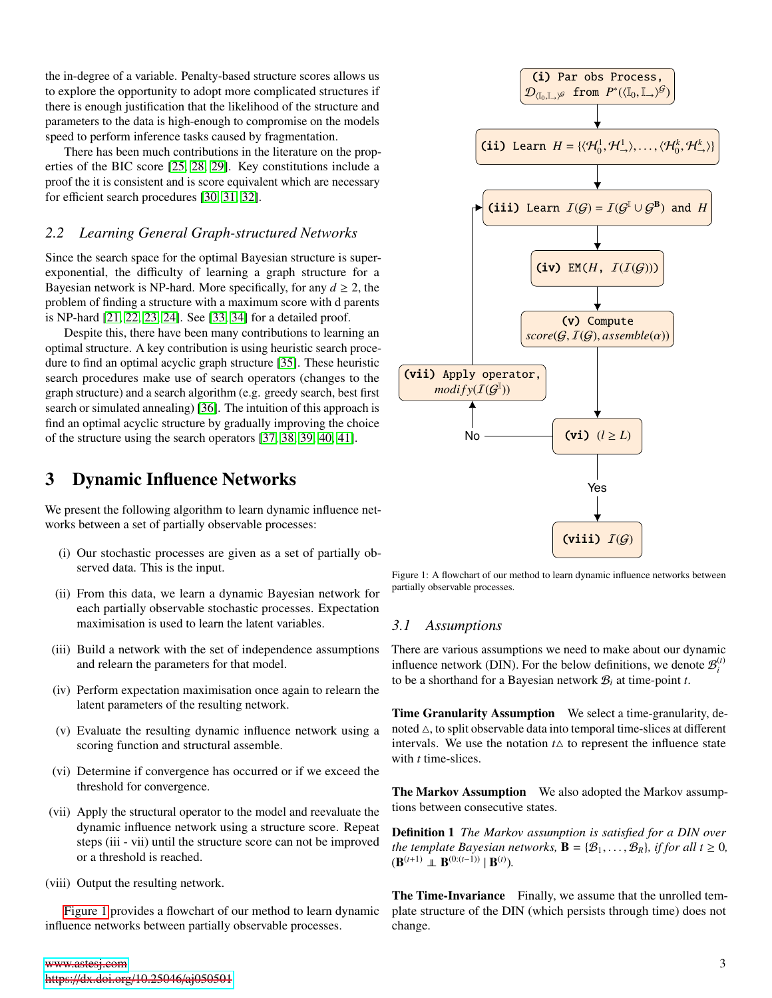the in-degree of a variable. Penalty-based structure scores allows us to explore the opportunity to adopt more complicated structures if there is enough justification that the likelihood of the structure and parameters to the data is high-enough to compromise on the models speed to perform inference tasks caused by fragmentation.

There has been much contributions in the literature on the properties of the BIC score [\[25,](#page-7-10) [28,](#page-7-13) [29\]](#page-7-14). Key constitutions include a proof the it is consistent and is score equivalent which are necessary for efficient search procedures [\[30,](#page-7-15) [31,](#page-7-16) [32\]](#page-7-17).

#### <span id="page-2-1"></span>*2.2 Learning General Graph-structured Networks*

Since the search space for the optimal Bayesian structure is superexponential, the difficulty of learning a graph structure for a Bayesian network is NP-hard. More specifically, for any  $d \ge 2$ , the problem of finding a structure with a maximum score with d parents is NP-hard [\[21,](#page-7-6) [22,](#page-7-7) [23,](#page-7-8) [24\]](#page-7-9). See [\[33,](#page-7-18) [34\]](#page-7-19) for a detailed proof.

Despite this, there have been many contributions to learning an optimal structure. A key contribution is using heuristic search procedure to find an optimal acyclic graph structure [\[35\]](#page-7-20). These heuristic search procedures make use of search operators (changes to the graph structure) and a search algorithm (e.g. greedy search, best first search or simulated annealing) [\[36\]](#page-7-21). The intuition of this approach is find an optimal acyclic structure by gradually improving the choice of the structure using the search operators [\[37,](#page-7-22) [38,](#page-7-23) [39,](#page-7-24) [40,](#page-7-25) [41\]](#page-7-26).

### <span id="page-2-0"></span>3 Dynamic Influence Networks

We present the following algorithm to learn dynamic influence networks between a set of partially observable processes:

- (i) Our stochastic processes are given as a set of partially observed data. This is the input.
- (ii) From this data, we learn a dynamic Bayesian network for each partially observable stochastic processes. Expectation maximisation is used to learn the latent variables.
- (iii) Build a network with the set of independence assumptions and relearn the parameters for that model.
- (iv) Perform expectation maximisation once again to relearn the latent parameters of the resulting network.
- (v) Evaluate the resulting dynamic influence network using a scoring function and structural assemble.
- (vi) Determine if convergence has occurred or if we exceed the threshold for convergence.
- (vii) Apply the structural operator to the model and reevaluate the dynamic influence network using a structure score. Repeat steps (iii - vii) until the structure score can not be improved or a threshold is reached.
- (viii) Output the resulting network.

[Figure 1](#page-2-2) provides a flowchart of our method to learn dynamic influence networks between partially observable processes.

<span id="page-2-2"></span>

Figure 1: A flowchart of our method to learn dynamic influence networks between partially observable processes.

#### *3.1 Assumptions*

There are various assumptions we need to make about our dynamic influence network (DIN). For the below definitions, we denote  $\mathcal{B}_i^{(t)}$ to be a shorthand for a Bayesian network B*<sup>i</sup>* at time-point *t*.

Time Granularity Assumption We select a time-granularity, denoted  $\triangle$ , to split observable data into temporal time-slices at different intervals. We use the notation  $t\Delta$  to represent the influence state with *t* time-slices.

The Markov Assumption We also adopted the Markov assumptions between consecutive states.

Definition 1 *The Markov assumption is satisfied for a DIN over the template Bayesian networks,*  $\mathbf{B} = \{\mathcal{B}_1, \ldots, \mathcal{B}_R\}$ *, if for all*  $t \geq 0$ *,*  $(\mathbf{B}^{(t+1)} \perp \mathbf{B}^{(0:(t-1))} | \mathbf{B}^{(t)}).$ 

The Time-Invariance Finally, we assume that the unrolled template structure of the DIN (which persists through time) does not change.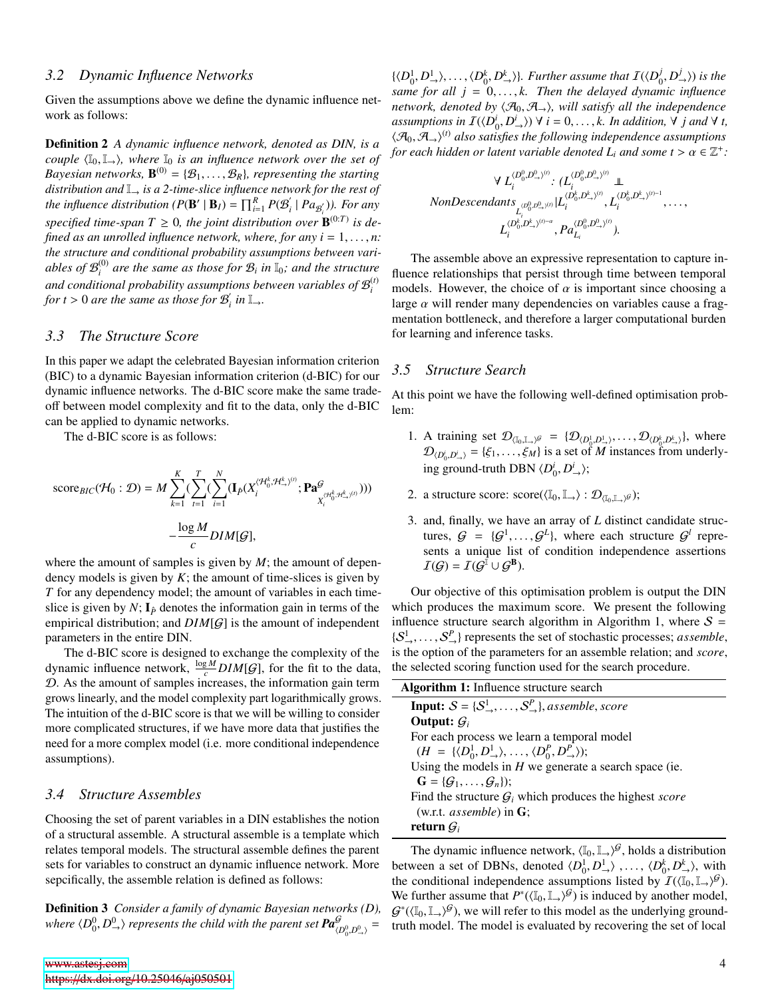#### *3.2 Dynamic Influence Networks*

Given the assumptions above we define the dynamic influence network as follows:

Definition 2 *A dynamic influence network, denoted as DIN, is a couple*  $\langle I_0, I_{\rightarrow} \rangle$ *, where*  $I_0$  *is an influence network over the set of Bayesian networks,*  $\mathbf{B}^{(0)} = \{B_1, \ldots, B_R\}$ *, representing the starting distribution and*  $\mathbb{I}$  *is a 2-time-slice influence network for the rest of distribution and* I<sup>→</sup> *is a 2-time-slice influence network for the rest of the influence distribution*  $(P(B' | B_I) = \prod_{i=1}^{R} P(B_i')$  $\int_i$  |  $Pa_{\mathcal{B}'_i}$ )). For any specified time-span  $T \geq 0$ , the joint distribution over  $\mathbf{B}^{(0:T)}$  is de*fined as an unrolled influence network, where, for any*  $i = 1, \ldots, n$ : *the structure and conditional probability assumptions between vari*ables of  $\mathcal{B}_i^{(0)}$  are the same as those for  $\mathcal{B}_i$  in  $\mathbb{I}_0$ ; and the structure and conditional probability assumptions between variables of  $\mathcal{B}_i^{(t)}$ *for t* > 0 *are the same as those for*  $B_i$  $\int$ <sup>*i*</sup> *in*  $\mathbb{I}_{\rightarrow}$ *.* 

#### <span id="page-3-0"></span>*3.3 The Structure Score*

In this paper we adapt the celebrated Bayesian information criterion (BIC) to a dynamic Bayesian information criterion (d-BIC) for our dynamic influence networks. The d-BIC score make the same tradeoff between model complexity and fit to the data, only the d-BIC can be applied to dynamic networks.

The d-BIC score is as follows:

$$
\begin{aligned} \text{score}_{BIC}(\mathcal{H}_0:\mathcal{D}) &= M\sum_{k=1}^K (\sum_{t=1}^T (\sum_{i=1}^N (\mathbf{I}_{\hat{P}}(X_i^{\langle \mathcal{H}_{\alpha}^k, \mathcal{H}_{\rightarrow}^k)^{(t)}};\mathbf{Pa}_{X_i^{\langle \mathcal{H}_{\alpha}^k, \mathcal{H}_{\rightarrow}^k)^{(t)}}}))\\ &-\frac{\log M}{c} DIM[\mathcal{G}], \end{aligned}
$$

where the amount of samples is given by *M*; the amount of dependency models is given by  $K$ ; the amount of time-slices is given by *T* for any dependency model; the amount of variables in each timeslice is given by *N*;  $I_{\hat{P}}$  denotes the information gain in terms of the empirical distribution; and *DIM*[G] is the amount of independent parameters in the entire DIN.

The d-BIC score is designed to exchange the complexity of the dynamic influence network,  $\frac{\log M}{c}$  *DIM*[*G*], for the fit to the data, D. As the amount of samples increases, the information gain term grows linearly, and the model complexity part logarithmically grows. The intuition of the d-BIC score is that we will be willing to consider more complicated structures, if we have more data that justifies the need for a more complex model (i.e. more conditional independence assumptions).

#### *3.4 Structure Assembles*

Choosing the set of parent variables in a DIN establishes the notion of a structural assemble. A structural assemble is a template which relates temporal models. The structural assemble defines the parent sets for variables to construct an dynamic influence network. More sepcifically, the assemble relation is defined as follows:

Definition 3 *Consider a family of dynamic Bayesian networks (D),* where  $\langle D_0^0, D_{\rightarrow}^0 \rangle$  *represents the child with the parent set*  $Pa_{\langle D_0^0, D_{\rightarrow}^0 \rangle}^{\mathcal{G}} =$ 

 $\{\langle D_0^1, D_{\rightarrow}^1 \rangle, \ldots, \langle D_0^k, D_{\rightarrow}^k \rangle\}$ . Further assume that  $I(\langle D_0^j, D_{\rightarrow}^k \rangle)$  and  $I(\langle D_0^j, D_{\rightarrow}^k \rangle)$  $\langle b_0, D^j_{\rightarrow} \rangle$  *is the*<br>mic influence *same for all*  $j = 0, \ldots, k$ . Then the delayed dynamic influence *network, denoted by*  $\langle A_0, A_{\rightarrow} \rangle$ *, will satisfy all the independence*  $\mathcal{L}(\mathcal{D}_0, \mathcal{D}_1) \vee \mathcal{D}_2 = \{A \mid \mathcal{D}_1 \mid A \in \mathcal{D}\}$ <br>  $\mathcal{L}(\mathcal{D}_0, \mathcal{D}_1) \vee \mathcal{D}_2 = \{A \mid A \in \mathcal{D}\}$ <br>  $\mathcal{L}(\mathcal{D}_0, \mathcal{D}_1) \vee \mathcal{D}_2 = \{A \mid A \in \mathcal{D}\}$  $\langle A_0, A_{\rightarrow} \rangle^{(t)}$  also satisfies the following independence assumptions<br>for each hidden or latent variable denoted L, and some  $t > \alpha \in \mathbb{Z}^+$ *for each hidden or latent variable denoted*  $\overline{L}_i$  *and some*  $t > \alpha \in \mathbb{Z}^+$ :

$$
\forall L_i^{(D_0^0, D_{\rightarrow}^0)^{(i)}}: (L_i^{(D_0^0, D_{\rightarrow}^0)^{(i)}} \perp \newline \text{NonDescendants}_{L_i^{(D_0^0, D_{\rightarrow}^0)^{(i)}}} | L_i^{(D_0^k, D_{\rightarrow}^k)^{(i)}}, L_i^{(D_0^k, D_{\rightarrow}^k)^{(i)-1}}, \dots, \\ L_i^{(D_0^k, D_{\rightarrow}^k)^{(i)-\alpha}}, Pa_{L_i}^{(D_0^0, D_{\rightarrow}^0)^{(i)}}).
$$

The assemble above an expressive representation to capture influence relationships that persist through time between temporal models. However, the choice of  $\alpha$  is important since choosing a large  $\alpha$  will render many dependencies on variables cause a fragmentation bottleneck, and therefore a larger computational burden for learning and inference tasks.

#### <span id="page-3-1"></span>*3.5 Structure Search*

At this point we have the following well-defined optimisation problem:

- 1. A training set  $\mathcal{D}_{(\mathbb{I}_0,\mathbb{I}_1),\mathscr{G}} = \{ \mathcal{D}_{(D_0^1,D_1^1)},\ldots, \mathcal{D}_{(D_0^k,D_{r}^k)} \}$ , where  $\mathcal{D}_{\text{left}} \neq \ldots \neq \emptyset$ , is a set of *M* instances from underly.  $\mathcal{D}_{\langle D_0^i, D_\rightarrow^i \rangle} = {\xi_1, \dots, \xi_M}$  is a set of *M* instances from underlying ground-truth DBN  $\langle D_0^i, D_\rightarrow^i \rangle$ ;
- 2. a structure score:  $score(\langle \mathbb{I}_0, \mathbb{I}_\rightarrow \rangle : \mathcal{D}_{\langle \mathbb{I}_0, \mathbb{I}_\rightarrow \rangle} \mathcal{G})$ ;
- 3. and, finally, we have an array of *L* distinct candidate structures,  $G = \{G^1, \ldots, G^L\}$ , where each structure  $G^l$  repre-<br>sents a unique list of condition independence assertions sents a unique list of condition independence assertions  $I(G) = I(G^{I} \cup G^{B}).$

Our objective of this optimisation problem is output the DIN which produces the maximum score. We present the following influence structure search algorithm in Algorithm 1, where  $S =$  $\{S^1_1, \ldots, S^P_{-}\}\$  represents the set of stochastic processes; *assemble*, is the option of the parameters for an assemble relation; and score, is the option of the parameters for an assemble relation; and *score*, the selected scoring function used for the search procedure.

| <b>Algorithm 1:</b> Influence structure search                                                           |
|----------------------------------------------------------------------------------------------------------|
| <b>Input:</b> $S = \{S^1_-, \ldots, S^P_-\}$ , assemble, score                                           |
| Output: $G_i$                                                                                            |
| For each process we learn a temporal model                                                               |
| $(H = \{ \langle D_0^1, D_{\rightarrow}^1 \rangle, \ldots, \langle D_0^P, D_{\rightarrow}^P \rangle \};$ |
| Using the models in $H$ we generate a search space (ie.                                                  |
| $\mathbf{G} = {\mathcal{G}_1, \ldots, \mathcal{G}_n}$ ;                                                  |
| Find the structure $G_i$ which produces the highest score                                                |
| (w.r.t. $assemble$ ) in $G$ ;                                                                            |
| return $G_i$                                                                                             |
|                                                                                                          |

The dynamic influence network,  $\langle I_0, I_{\rightarrow} \rangle^{\mathcal{G}}$ , holds a distribution<br>ween a set of DBNs, denoted  $\langle D^1, D^1 \rangle$ between a set of DBNs, denoted  $\langle D_0^1, D_\rightarrow^1 \rangle$ , ...,  $\langle D_0^k, D_\rightarrow^k \rangle$ , with the conditional independence assumptions listed by  $\mathcal{I}(\ell \mathbb{I}_n, \mathbb{I}_n \setminus \mathcal{G})$ the conditional independence assumptions listed by  $I(\langle I_0, I_+\rangle)^{\mathcal{G}}$ .<br>We further assume that  $P^*(I_0, I_+\setminus \mathcal{G})$  is induced by another model. We further assume that  $P^*(\langle \mathbb{I}_0, \mathbb{I}_+ \rangle)^{\mathcal{G}}$  is induced by another model,<br> $G^*(\langle \mathbb{I}_0, \mathbb{I}_+ \rangle)^{\mathcal{G}}$  we will refer to this model as the underlying ground- $G^*(\langle \mathbb{I}_0, \mathbb{I}_\rightarrow \rangle^G)$ , we will refer to this model as the underlying ground-<br>truth model. The model is evaluated by recovering the set of local truth model. The model is evaluated by recovering the set of local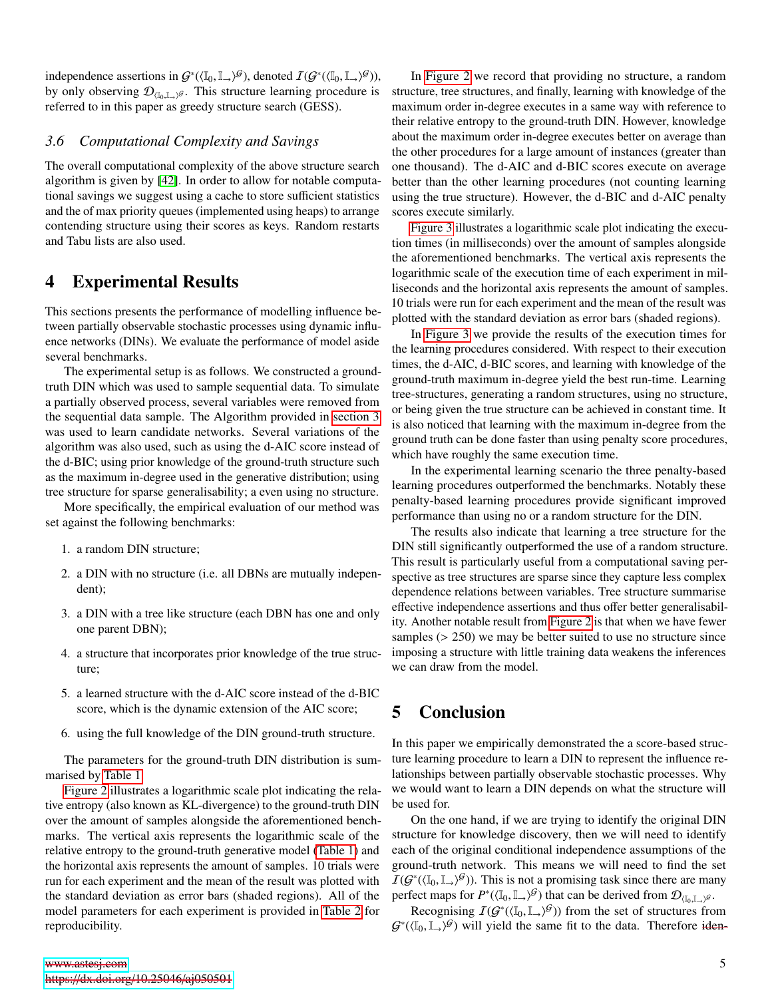independence assertions in  $G^*(\langle \mathbb{I}_0, \mathbb{I}_{\rightarrow} \rangle^{\mathcal{G}})$ , denoted  $I(G^*(\langle \mathbb{I}_0, \mathbb{I}_{\rightarrow} \rangle^{\mathcal{G}}))$ ,<br>by only observing  $\mathcal{D}_{\mathbb{I}_{\{0, \mathbb{I}_{\{0, \mathbb{I}_{\{0, \mathbb{I}_{\{0, \mathbb{I}_{\{0, \mathbb{I}_{\{0, \mathbb{I}_{\{0, \mathbb{I}_{\{0, \mathbb{I}_{\{$ by only observing  $\mathcal{D}_{(I_0,I_1)}\mathcal{G}$ . This structure learning procedure is referred to in this paper as groody structure search (GESS). referred to in this paper as greedy structure search (GESS).

#### *3.6 Computational Complexity and Savings*

The overall computational complexity of the above structure search algorithm is given by [\[42\]](#page-7-27). In order to allow for notable computational savings we suggest using a cache to store sufficient statistics and the of max priority queues (implemented using heaps) to arrange contending structure using their scores as keys. Random restarts and Tabu lists are also used.

### <span id="page-4-0"></span>4 Experimental Results

This sections presents the performance of modelling influence between partially observable stochastic processes using dynamic influence networks (DINs). We evaluate the performance of model aside several benchmarks.

The experimental setup is as follows. We constructed a groundtruth DIN which was used to sample sequential data. To simulate a partially observed process, several variables were removed from the sequential data sample. The Algorithm provided in [section 3](#page-2-0) was used to learn candidate networks. Several variations of the algorithm was also used, such as using the d-AIC score instead of the d-BIC; using prior knowledge of the ground-truth structure such as the maximum in-degree used in the generative distribution; using tree structure for sparse generalisability; a even using no structure.

More specifically, the empirical evaluation of our method was set against the following benchmarks:

- 1. a random DIN structure;
- 2. a DIN with no structure (i.e. all DBNs are mutually independent);
- 3. a DIN with a tree like structure (each DBN has one and only one parent DBN);
- 4. a structure that incorporates prior knowledge of the true structure;
- 5. a learned structure with the d-AIC score instead of the d-BIC score, which is the dynamic extension of the AIC score;
- 6. using the full knowledge of the DIN ground-truth structure.

The parameters for the ground-truth DIN distribution is summarised by [Table 1.](#page-5-0)

[Figure 2](#page-5-1) illustrates a logarithmic scale plot indicating the relative entropy (also known as KL-divergence) to the ground-truth DIN over the amount of samples alongside the aforementioned benchmarks. The vertical axis represents the logarithmic scale of the relative entropy to the ground-truth generative model [\(Table 1\)](#page-5-0) and the horizontal axis represents the amount of samples. 10 trials were run for each experiment and the mean of the result was plotted with the standard deviation as error bars (shaded regions). All of the model parameters for each experiment is provided in [Table 2](#page-5-2) for reproducibility.

In [Figure 2](#page-5-1) we record that providing no structure, a random structure, tree structures, and finally, learning with knowledge of the maximum order in-degree executes in a same way with reference to their relative entropy to the ground-truth DIN. However, knowledge about the maximum order in-degree executes better on average than the other procedures for a large amount of instances (greater than one thousand). The d-AIC and d-BIC scores execute on average better than the other learning procedures (not counting learning using the true structure). However, the d-BIC and d-AIC penalty scores execute similarly.

[Figure 3](#page-6-14) illustrates a logarithmic scale plot indicating the execution times (in milliseconds) over the amount of samples alongside the aforementioned benchmarks. The vertical axis represents the logarithmic scale of the execution time of each experiment in milliseconds and the horizontal axis represents the amount of samples. 10 trials were run for each experiment and the mean of the result was plotted with the standard deviation as error bars (shaded regions).

In [Figure 3](#page-6-14) we provide the results of the execution times for the learning procedures considered. With respect to their execution times, the d-AIC, d-BIC scores, and learning with knowledge of the ground-truth maximum in-degree yield the best run-time. Learning tree-structures, generating a random structures, using no structure, or being given the true structure can be achieved in constant time. It is also noticed that learning with the maximum in-degree from the ground truth can be done faster than using penalty score procedures, which have roughly the same execution time.

In the experimental learning scenario the three penalty-based learning procedures outperformed the benchmarks. Notably these penalty-based learning procedures provide significant improved performance than using no or a random structure for the DIN.

The results also indicate that learning a tree structure for the DIN still significantly outperformed the use of a random structure. This result is particularly useful from a computational saving perspective as tree structures are sparse since they capture less complex dependence relations between variables. Tree structure summarise effective independence assertions and thus offer better generalisability. Another notable result from [Figure 2](#page-5-1) is that when we have fewer samples ( $> 250$ ) we may be better suited to use no structure since imposing a structure with little training data weakens the inferences we can draw from the model.

## <span id="page-4-1"></span>5 Conclusion

In this paper we empirically demonstrated the a score-based structure learning procedure to learn a DIN to represent the influence relationships between partially observable stochastic processes. Why we would want to learn a DIN depends on what the structure will be used for.

On the one hand, if we are trying to identify the original DIN structure for knowledge discovery, then we will need to identify each of the original conditional independence assumptions of the ground-truth network. This means we will need to find the set  $\overline{I}(\mathcal{G}^*(\langle \mathbb{I}_0, \mathbb{I}_+)^\mathcal{G})$ . This is not a promising task since there are many<br>perfect mans for  $P^*(\langle \mathbb{I}_0, \mathbb{I}_+ \setminus \mathcal{G} \rangle)$  that can be derived from  $\mathcal{D}_{\mathbb{I}_n}$ perfect maps for  $P^*(\langle \mathbb{I}_0, \mathbb{I}_+ \rangle)$ <sup>G</sup> that can be derived from  $\mathcal{D}_{\langle \mathbb{I}_0, \mathbb{I}_+ \rangle}$ .

Recognising  $I(G^*(\langle \mathbb{I}_0, \mathbb{I}_\rightarrow \rangle^{\mathcal{G}}))$  from the set of structures from  $(\mathbb{I}_0, \mathbb{I}_\rightarrow \mathcal{G})$  will vield the same fit to the data. Therefore identity  $G^*(\langle \mathbb{I}_0, \mathbb{I}_\rightarrow \rangle)$  will yield the same fit to the data. Therefore iden-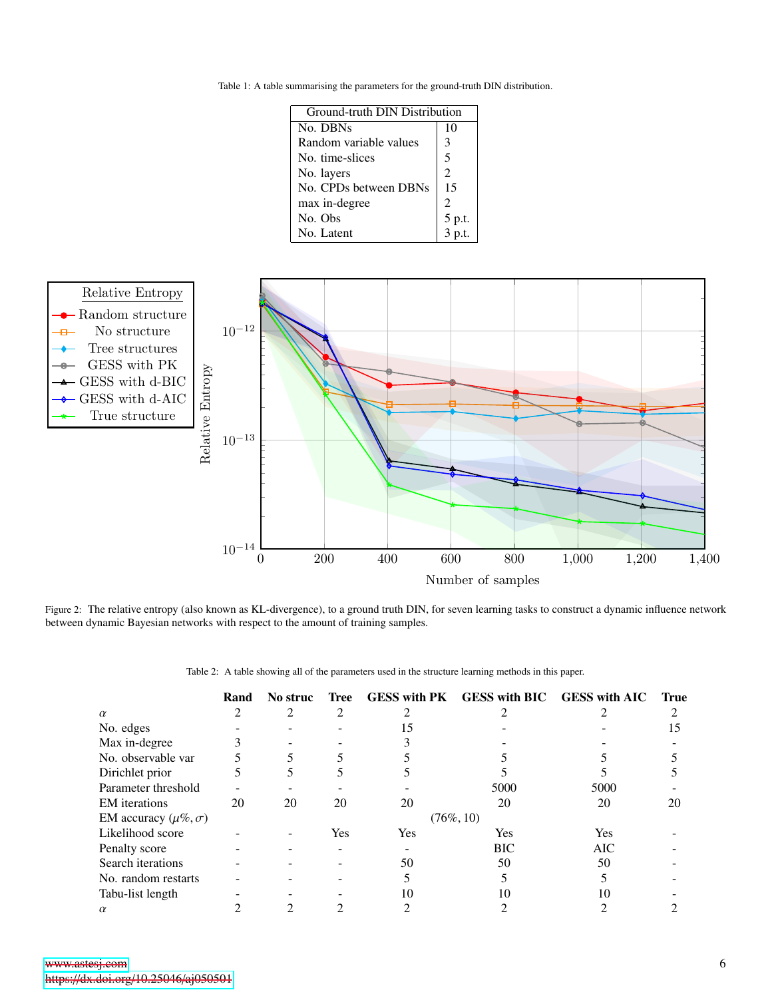<span id="page-5-0"></span>Table 1: A table summarising the parameters for the ground-truth DIN distribution.

| <b>Ground-truth DIN Distribution</b> |                    |  |  |  |  |
|--------------------------------------|--------------------|--|--|--|--|
| No. DBNs                             | 10                 |  |  |  |  |
| Random variable values               | 3                  |  |  |  |  |
| No. time-slices                      | 5                  |  |  |  |  |
| No. layers                           | $\mathfrak{D}$     |  |  |  |  |
| No. CPDs between DBNs                | 15                 |  |  |  |  |
| max in-degree                        | 2                  |  |  |  |  |
| No. Obs                              | $\frac{5}{3}$ p.t. |  |  |  |  |
| No. Latent                           |                    |  |  |  |  |

<span id="page-5-1"></span>

<span id="page-5-2"></span>Figure 2: The relative entropy (also known as KL-divergence), to a ground truth DIN, for seven learning tasks to construct a dynamic influence network between dynamic Bayesian networks with respect to the amount of training samples.

|  |  | Table 2: A table showing all of the parameters used in the structure learning methods in this paper. |  |  |
|--|--|------------------------------------------------------------------------------------------------------|--|--|
|  |  |                                                                                                      |  |  |

|                               | Rand | No struc | <b>Tree</b> | <b>GESS</b> with PK | <b>GESS with BIC</b> | <b>GESS with AIC</b> | <b>True</b> |
|-------------------------------|------|----------|-------------|---------------------|----------------------|----------------------|-------------|
| $\alpha$                      |      |          |             |                     |                      |                      |             |
| No. edges                     |      |          |             | 15                  |                      |                      | 15          |
| Max in-degree                 |      |          |             |                     |                      |                      |             |
| No. observable var            |      |          |             |                     |                      |                      |             |
| Dirichlet prior               |      |          |             |                     |                      |                      |             |
| Parameter threshold           |      |          |             |                     | 5000                 | 5000                 |             |
| <b>EM</b> iterations          | 20   | 20       | 20          | 20                  | 20                   | 20                   | 20          |
| EM accuracy $(\mu\%, \sigma)$ |      |          |             |                     | $(76\%, 10)$         |                      |             |
| Likelihood score              |      |          | Yes         | Yes                 | Yes                  | Yes                  |             |
| Penalty score                 |      |          |             |                     | <b>BIC</b>           | <b>AIC</b>           |             |
| Search iterations             |      |          |             | 50                  | 50                   | 50                   |             |
| No. random restarts           |      |          |             |                     |                      |                      |             |
| Tabu-list length              |      |          |             | 10                  | 10                   | 10                   |             |
| $\alpha$                      |      |          |             |                     |                      |                      |             |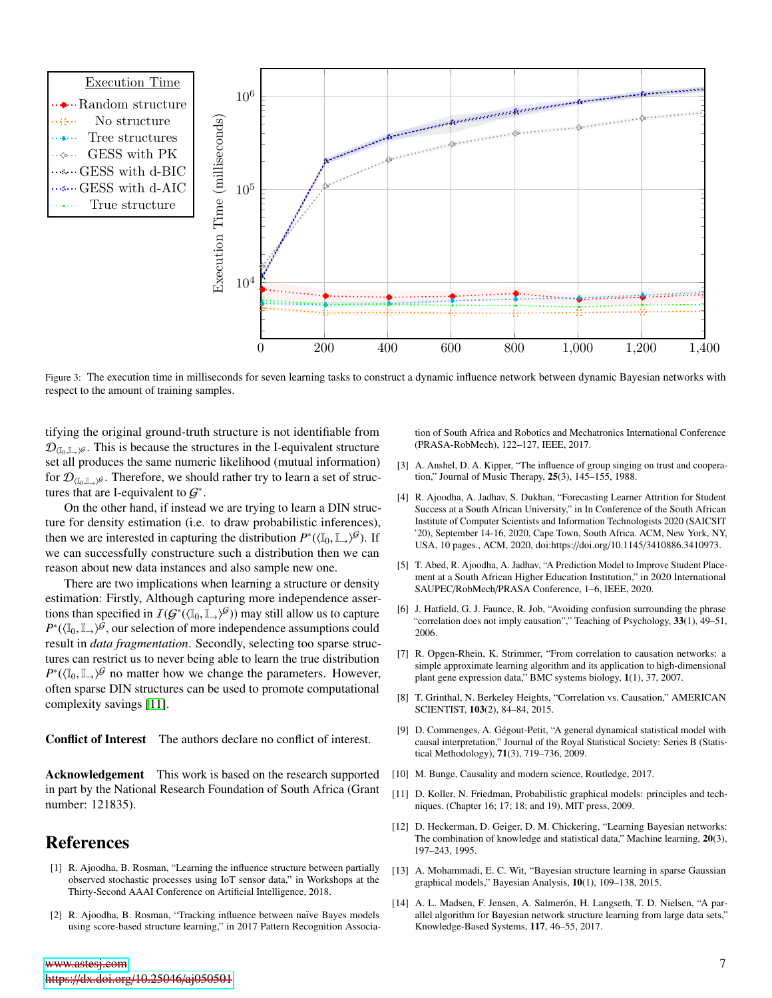<span id="page-6-14"></span>

Figure 3: The execution time in milliseconds for seven learning tasks to construct a dynamic influence network between dynamic Bayesian networks with respect to the amount of training samples.

tifying the original ground-truth structure is not identifiable from  $\mathcal{D}_{(\mathbb{I}_0,\mathbb{L}_0)}$ . This is because the structures in the I-equivalent structure set all produces the same numeric likelihood (mutual information) for  $\mathcal{D}_{(\mathbb{I}_0,\mathbb{I}_\rightarrow)^{\mathcal{G}}}$ . Therefore, we should rather try to learn a set of structures that are I-equivalent to  $\mathcal{G}^*$ .

On the other hand, if instead we are trying to learn a DIN structure for density estimation (i.e. to draw probabilistic inferences), then we are interested in capturing the distribution  $P^*(\langle \mathbb{I}_0, \mathbb{I}_+ \rangle^{\mathcal{G}})$ . If we can successfully constructure such a distribution then we can reason about new data instances and also sample new one.

There are two implications when learning a structure or density estimation: Firstly, Although capturing more independence assertions than specified in  $I(G^*(\mathbb{I}_0, \mathbb{I}_t, \beta))$  may still allow us to capture  $P^*(\mathbb{I}_0, \mathbb{I}_t, \beta)$  our selection of more independence assumptions could  $P^*(\langle \mathbb{I}_0, \mathbb{I}_+ \rangle)$ <sup> $\hat{\mathcal{G}}$ , our selection of more independence assumptions could<br>result in *data fragmentation*. Secondly, selecting too sparse struc-</sup> result in *data fragmentation*. Secondly, selecting too sparse structures can restrict us to never being able to learn the true distribution  $P^*(\langle \mathbb{I}_0, \mathbb{I}_\rightarrow \rangle^{\mathcal{G}})$  no matter how we change the parameters. However, often sparse DIN structures can be used to promote computational often sparse DIN structures can be used to promote computational complexity savings [\[11\]](#page-6-10).

Conflict of Interest The authors declare no conflict of interest.

Acknowledgement This work is based on the research supported in part by the National Research Foundation of South Africa (Grant number: 121835).

### References

- <span id="page-6-0"></span>[1] R. Ajoodha, B. Rosman, "Learning the influence structure between partially observed stochastic processes using IoT sensor data," in Workshops at the Thirty-Second AAAI Conference on Artificial Intelligence, 2018.
- <span id="page-6-1"></span>[2] R. Ajoodha, B. Rosman, "Tracking influence between naïve Bayes models using score-based structure learning," in 2017 Pattern Recognition Associa-

[www.astesj.com](https://www.astesj.com) https://[dx.doi.org](https://dx.doi.org/10.25046/aj050501)/10.25046/aj050501 tion of South Africa and Robotics and Mechatronics International Conference (PRASA-RobMech), 122–127, IEEE, 2017.

- <span id="page-6-2"></span>[3] A. Anshel, D. A. Kipper, "The influence of group singing on trust and cooperation," Journal of Music Therapy, 25(3), 145–155, 1988.
- <span id="page-6-3"></span>[4] R. Ajoodha, A. Jadhav, S. Dukhan, "Forecasting Learner Attrition for Student Success at a South African University," in In Conference of the South African Institute of Computer Scientists and Information Technologists 2020 (SAICSIT '20), September 14-16, 2020, Cape Town, South Africa. ACM, New York, NY, USA, 10 pages., ACM, 2020, doi:https://doi.org/10.1145/3410886.3410973.
- <span id="page-6-4"></span>[5] T. Abed, R. Ajoodha, A. Jadhav, "A Prediction Model to Improve Student Placement at a South African Higher Education Institution," in 2020 International SAUPEC/RobMech/PRASA Conference, 1–6, IEEE, 2020.
- <span id="page-6-5"></span>[6] J. Hatfield, G. J. Faunce, R. Job, "Avoiding confusion surrounding the phrase "correlation does not imply causation"," Teaching of Psychology, 33(1), 49-51, 2006.
- <span id="page-6-6"></span>[7] R. Opgen-Rhein, K. Strimmer, "From correlation to causation networks: a simple approximate learning algorithm and its application to high-dimensional plant gene expression data," BMC systems biology, 1(1), 37, 2007.
- <span id="page-6-7"></span>[8] T. Grinthal, N. Berkeley Heights, "Correlation vs. Causation," AMERICAN SCIENTIST, 103(2), 84–84, 2015.
- <span id="page-6-8"></span>[9] D. Commenges, A. Gégout-Petit, "A general dynamical statistical model with causal interpretation," Journal of the Royal Statistical Society: Series B (Statistical Methodology), 71(3), 719–736, 2009.
- <span id="page-6-9"></span>[10] M. Bunge, Causality and modern science, Routledge, 2017.
- <span id="page-6-10"></span>[11] D. Koller, N. Friedman, Probabilistic graphical models: principles and techniques. (Chapter 16; 17; 18; and 19), MIT press, 2009.
- <span id="page-6-11"></span>[12] D. Heckerman, D. Geiger, D. M. Chickering, "Learning Bayesian networks: The combination of knowledge and statistical data," Machine learning, 20(3), 197–243, 1995.
- <span id="page-6-12"></span>[13] A. Mohammadi, E. C. Wit, "Bayesian structure learning in sparse Gaussian graphical models," Bayesian Analysis, 10(1), 109–138, 2015.
- <span id="page-6-13"></span>[14] A. L. Madsen, F. Jensen, A. Salmerón, H. Langseth, T. D. Nielsen, "A parallel algorithm for Bayesian network structure learning from large data sets," Knowledge-Based Systems, 117, 46–55, 2017.